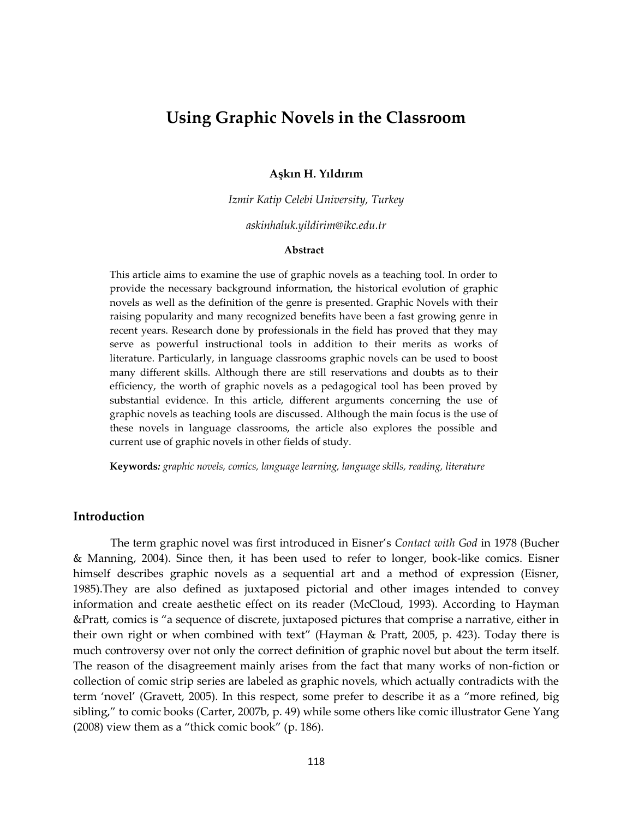# **Using Graphic Novels in the Classroom**

## **Aşkın H. Yıldırım**

*Izmir Katip Celebi University, Turkey*

*askinhaluk.yildirim@ikc.edu.tr*

## **Abstract**

This article aims to examine the use of graphic novels as a teaching tool. In order to provide the necessary background information, the historical evolution of graphic novels as well as the definition of the genre is presented. Graphic Novels with their raising popularity and many recognized benefits have been a fast growing genre in recent years. Research done by professionals in the field has proved that they may serve as powerful instructional tools in addition to their merits as works of literature. Particularly, in language classrooms graphic novels can be used to boost many different skills. Although there are still reservations and doubts as to their efficiency, the worth of graphic novels as a pedagogical tool has been proved by substantial evidence. In this article, different arguments concerning the use of graphic novels as teaching tools are discussed. Although the main focus is the use of these novels in language classrooms, the article also explores the possible and current use of graphic novels in other fields of study.

**Keywords***: graphic novels, comics, language learning, language skills, reading, literature*

#### **Introduction**

The term graphic novel was first introduced in Eisner's *Contact with God* in 1978 (Bucher & Manning, 2004). Since then, it has been used to refer to longer, book-like comics. Eisner himself describes graphic novels as a sequential art and a method of expression (Eisner, 1985).They are also defined as juxtaposed pictorial and other images intended to convey information and create aesthetic effect on its reader (McCloud, 1993). According to Hayman &Pratt, comics is "a sequence of discrete, juxtaposed pictures that comprise a narrative, either in their own right or when combined with text" [\(Hayman & Pratt, 2005, p. 423\)](#page-12-0). Today there is much controversy over not only the correct definition of graphic novel but about the term itself. The reason of the disagreement mainly arises from the fact that many works of non-fiction or collection of comic strip series are labeled as graphic novels, which actually contradicts with the term 'novel' (Gravett, 2005). In this respect, some prefer to describe it as a "more refined, big sibling," to comic books (Carter, 2007b, p. 49) while some others like comic illustrator Gene Yang (2008) view them as a "thick comic book" (p. 186).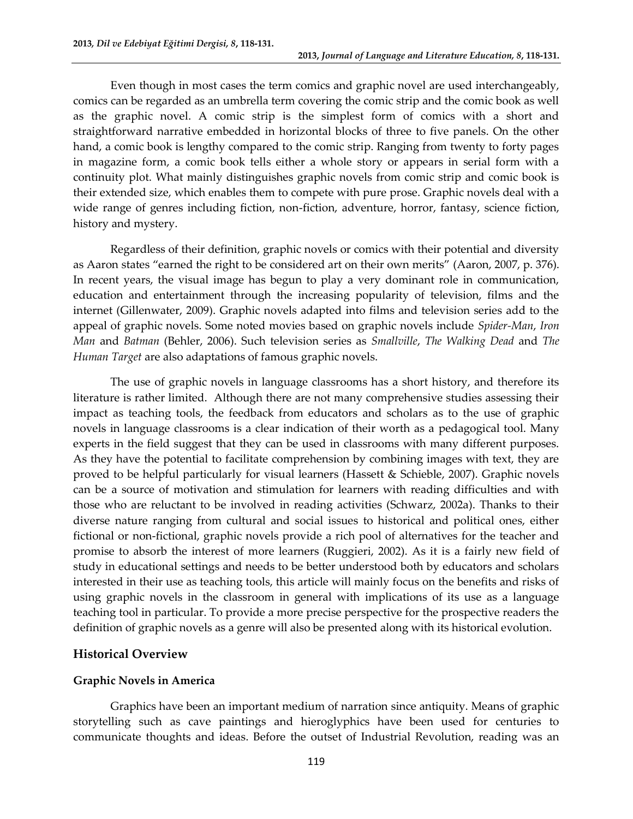Even though in most cases the term comics and graphic novel are used interchangeably, comics can be regarded as an umbrella term covering the comic strip and the comic book as well as the graphic novel. A comic strip is the simplest form of comics with a short and straightforward narrative embedded in horizontal blocks of three to five panels. On the other hand, a comic book is lengthy compared to the comic strip. Ranging from twenty to forty pages in magazine form, a comic book tells either a whole story or appears in serial form with a continuity plot. What mainly distinguishes graphic novels from comic strip and comic book is their extended size, which enables them to compete with pure prose. Graphic novels deal with a wide range of genres including fiction, non-fiction, adventure, horror, fantasy, science fiction, history and mystery.

Regardless of their definition, graphic novels or comics with their potential and diversity as Aaron states "earned the right to be considered art on their own merits" [\(Aaron, 2007, p. 376\)](#page-11-0). In recent years, the visual image has begun to play a very dominant role in communication, education and entertainment through the increasing popularity of television, films and the internet (Gillenwater, 2009). Graphic novels adapted into films and television series add to the appeal of graphic novels. Some noted movies based on graphic novels include *Spider-Man*, *Iron Man* and *Batman* (Behler, 2006). Such television series as *Smallville*, *The Walking Dead* and *The Human Target* are also adaptations of famous graphic novels.

The use of graphic novels in language classrooms has a short history, and therefore its literature is rather limited. Although there are not many comprehensive studies assessing their impact as teaching tools, the feedback from educators and scholars as to the use of graphic novels in language classrooms is a clear indication of their worth as a pedagogical tool. Many experts in the field suggest that they can be used in classrooms with many different purposes. As they have the potential to facilitate comprehension by combining images with text, they are proved to be helpful particularly for visual learners (Hassett & Schieble, 2007). Graphic novels can be a source of motivation and stimulation for learners with reading difficulties and with those who are reluctant to be involved in reading activities (Schwarz, 2002a). Thanks to their diverse nature ranging from cultural and social issues to historical and political ones, either fictional or non-fictional, graphic novels provide a rich pool of alternatives for the teacher and promise to absorb the interest of more learners (Ruggieri, 2002). As it is a fairly new field of study in educational settings and needs to be better understood both by educators and scholars interested in their use as teaching tools, this article will mainly focus on the benefits and risks of using graphic novels in the classroom in general with implications of its use as a language teaching tool in particular. To provide a more precise perspective for the prospective readers the definition of graphic novels as a genre will also be presented along with its historical evolution.

# **Historical Overview**

## **Graphic Novels in America**

Graphics have been an important medium of narration since antiquity. Means of graphic storytelling such as cave paintings and hieroglyphics have been used for centuries to communicate thoughts and ideas. Before the outset of Industrial Revolution, reading was an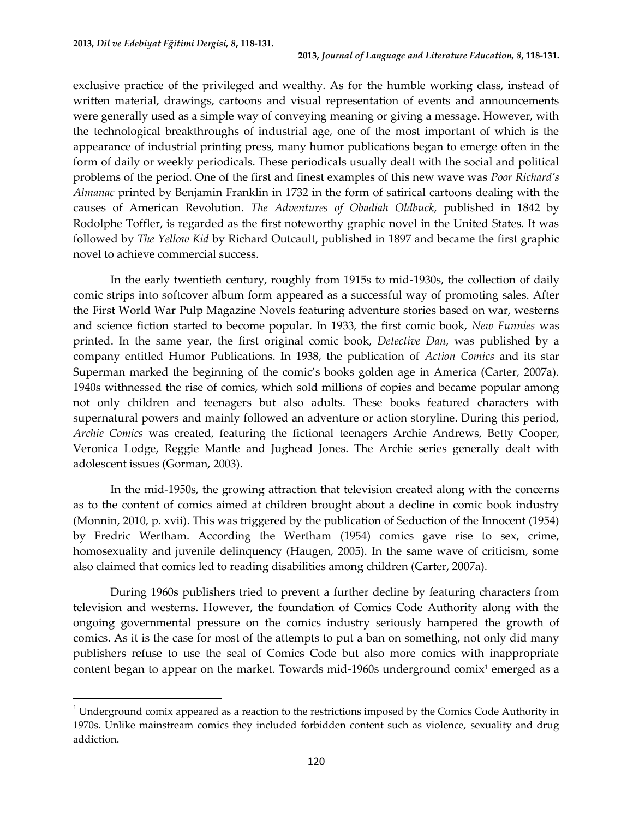$\overline{a}$ 

exclusive practice of the privileged and wealthy. As for the humble working class, instead of written material, drawings, cartoons and visual representation of events and announcements were generally used as a simple way of conveying meaning or giving a message. However, with the technological breakthroughs of industrial age, one of the most important of which is the appearance of industrial printing press, many humor publications began to emerge often in the form of daily or weekly periodicals. These periodicals usually dealt with the social and political problems of the period. One of the first and finest examples of this new wave was *Poor Richard's Almanac* printed by Benjamin Franklin in 1732 in the form of satirical cartoons dealing with the causes of American Revolution. *The Adventures of Obadiah Oldbuck*, published in 1842 by Rodolphe Toffler, is regarded as the first noteworthy graphic novel in the United States. It was followed by *The Yellow Kid* by Richard Outcault, published in 1897 and became the first graphic novel to achieve commercial success.

In the early twentieth century, roughly from 1915s to mid-1930s, the collection of daily comic strips into softcover album form appeared as a successful way of promoting sales. After the First World War Pulp Magazine Novels featuring adventure stories based on war, westerns and science fiction started to become popular. In 1933, the first comic book, *New Funnies* was printed. In the same year, the first original comic book, *Detective Dan*, was published by a company entitled Humor Publications. In 1938, the publication of *Action Comics* and its star Superman marked the beginning of the comic's books golden age in America (Carter, 2007a). 1940s withnessed the rise of comics, which sold millions of copies and became popular among not only children and teenagers but also adults. These books featured characters with supernatural powers and mainly followed an adventure or action storyline. During this period, *Archie Comics* was created, featuring the fictional [teenagers](http://en.wikipedia.org/wiki/Adolescence) [Archie Andrews,](http://en.wikipedia.org/wiki/Archie_Andrews_(comics)) [Betty Cooper,](http://en.wikipedia.org/wiki/Betty_Cooper) [Veronica Lodge,](http://en.wikipedia.org/wiki/Veronica_Lodge) [Reggie Mantle](http://en.wikipedia.org/wiki/Reggie_Mantle) and [Jughead Jones.](http://en.wikipedia.org/wiki/Jughead_Jones) The Archie series generally dealt with adolescent issues (Gorman, 2003).

In the mid-1950s, the growing attraction that television created along with the concerns as to the content of comics aimed at children brought about a decline in comic book industry (Monnin, 2010, p. xvii). This was triggered by the publication of Seduction of the Innocent (1954) by Fredric Wertham. According the Wertham (1954) comics gave rise to sex, crime, homosexuality and juvenile delinquency (Haugen, 2005). In the same wave of criticism, some also claimed that comics led to reading disabilities among children (Carter, 2007a).

During 1960s publishers tried to prevent a further decline by featuring characters from television and westerns. However, the foundation of Comics Code Authority along with the ongoing governmental pressure on the comics industry seriously hampered the growth of comics. As it is the case for most of the attempts to put a ban on something, not only did many publishers refuse to use the seal of Comics Code but also more comics with inappropriate content began to appear on the market. Towards mid-1960s underground comix<sup>1</sup> emerged as a

 $1$  Underground comix appeared as a reaction to the restrictions imposed by the Comics Code Authority in 1970s. Unlike mainstream comics they included forbidden content such as violence, sexuality and drug addiction.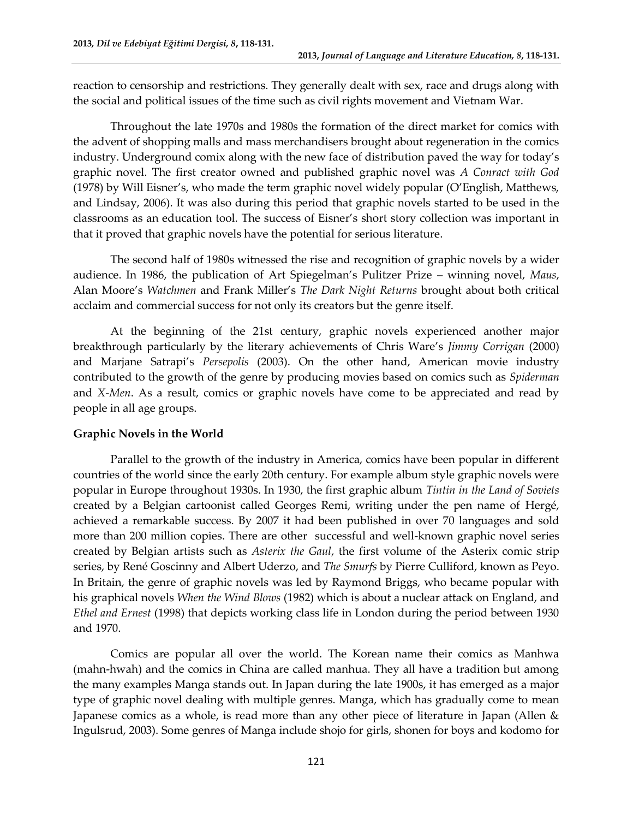reaction to censorship and restrictions. They generally dealt with sex, race and drugs along with the social and political issues of the time such as civil rights movement and Vietnam War.

Throughout the late 1970s and 1980s the formation of the direct market for comics with the advent of shopping malls and mass merchandisers brought about regeneration in the comics industry. Underground comix along with the new face of distribution paved the way for today's graphic novel. The first creator owned and published graphic novel was *A Conract with God* (1978) by Will Eisner's, who made the term graphic novel widely popular (O'English, Matthews, and Lindsay, 2006). It was also during this period that graphic novels started to be used in the classrooms as an education tool. The success of Eisner's short story collection was important in that it proved that graphic novels have the potential for serious literature.

The second half of 1980s witnessed the rise and recognition of graphic novels by a wider audience. In 1986, the publication of Art Spiegelman's Pulitzer Prize – winning novel, *Maus*, Alan Moore's *Watchmen* and Frank Miller's *The Dark Night Returns* brought about both critical acclaim and commercial success for not only its creators but the genre itself.

At the beginning of the 21st century, graphic novels experienced another major breakthrough particularly by the literary achievements of Chris Ware's *Jimmy Corrigan* (2000) and Marjane Satrapi's *Persepolis* (2003). On the other hand, American movie industry contributed to the growth of the genre by producing movies based on comics such as *Spiderman* and *X-Men*. As a result, comics or graphic novels have come to be appreciated and read by people in all age groups.

## **Graphic Novels in the World**

Parallel to the growth of the industry in America, comics have been popular in different countries of the world since the early 20th century. For example album style graphic novels were popular in Europe throughout 1930s. In 1930, the first graphic album *Tintin in the Land of Soviets* created by a Belgian cartoonist called Georges Remi, writing under the pen name of [Hergé](http://en.wikipedia.org/wiki/Herg%C3%A9), achieved a remarkable success. By 2007 it had been published in over 70 languages and sold more than 200 million copies. There are other successful and well-known graphic novel series created by Belgian artists such as *Asterix the Gaul*, the first volume of the [Asterix](http://en.wikipedia.org/wiki/Asterix) [comic strip](http://en.wikipedia.org/wiki/List_of_Asterix_volumes)  [series,](http://en.wikipedia.org/wiki/List_of_Asterix_volumes) by [René Goscinny](http://en.wikipedia.org/wiki/Ren%C3%A9_Goscinny) and [Albert Uderzo,](http://en.wikipedia.org/wiki/Albert_Uderzo) and *The Smurfs* by Pierre Culliford, known as Peyo. In Britain, the genre of graphic novels was led by Raymond Briggs, who became popular with his graphical novels *When the Wind Blows* (1982) which is about a nuclear attack on England, and *Ethel and Ernest* (1998) that depicts working class life in London during the period between 1930 and 1970.

Comics are popular all over the world. The Korean name their comics as Manhwa (mahn-hwah) and the comics in China are called manhua. They all have a tradition but among the many examples Manga stands out. In Japan during the late 1900s, it has emerged as a major type of graphic novel dealing with multiple genres. Manga, which has gradually come to mean Japanese comics as a whole, is read more than any other piece of literature in Japan (Allen & Ingulsrud, 2003). Some genres of Manga include shojo for girls, shonen for boys and kodomo for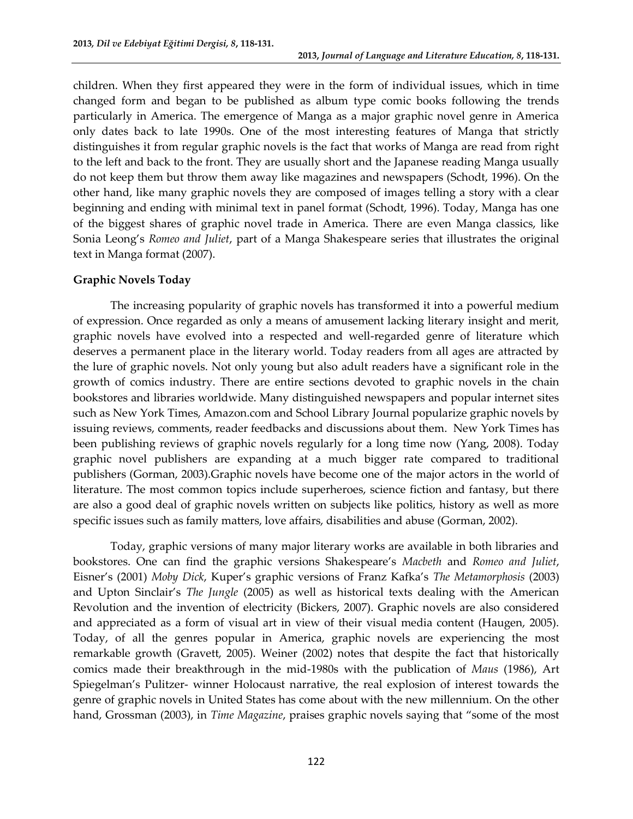children. When they first appeared they were in the form of individual issues, which in time changed form and began to be published as album type comic books following the trends particularly in America. The emergence of Manga as a major graphic novel genre in America only dates back to late 1990s. One of the most interesting features of Manga that strictly distinguishes it from regular graphic novels is the fact that works of Manga are read from right to the left and back to the front. They are usually short and the Japanese reading Manga usually do not keep them but throw them away like magazines and newspapers (Schodt, 1996). On the other hand, like many graphic novels they are composed of images telling a story with a clear beginning and ending with minimal text in panel format (Schodt, 1996). Today, Manga has one of the biggest shares of graphic novel trade in America. There are even Manga classics, like Sonia Leong's *Romeo and Juliet*, part of a Manga Shakespeare series that illustrates the original text in Manga format (2007).

## **Graphic Novels Today**

The increasing popularity of graphic novels has transformed it into a powerful medium of expression. Once regarded as only a means of amusement lacking literary insight and merit, graphic novels have evolved into a respected and well-regarded genre of literature which deserves a permanent place in the literary world. Today readers from all ages are attracted by the lure of graphic novels. Not only young but also adult readers have a significant role in the growth of comics industry. There are entire sections devoted to graphic novels in the chain bookstores and libraries worldwide. Many distinguished newspapers and popular internet sites such as New York Times, Amazon.com and School Library Journal popularize graphic novels by issuing reviews, comments, reader feedbacks and discussions about them. New York Times has been publishing reviews of graphic novels regularly for a long time now (Yang, 2008). Today graphic novel publishers are expanding at a much bigger rate compared to traditional publishers (Gorman, 2003).Graphic novels have become one of the major actors in the world of literature. The most common topics include superheroes, science fiction and fantasy, but there are also a good deal of graphic novels written on subjects like politics, history as well as more specific issues such as family matters, love affairs, disabilities and abuse (Gorman, 2002).

Today, graphic versions of many major literary works are available in both libraries and bookstores. One can find the graphic versions Shakespeare's *Macbeth* and *Romeo and Juliet*, Eisner's (2001) *Moby Dick*, Kuper's graphic versions of Franz Kafka's *The Metamorphosis* (2003) and Upton Sinclair's *The Jungle* (2005) as well as historical texts dealing with the American Revolution and the invention of electricity (Bickers, 2007). Graphic novels are also considered and appreciated as a form of visual art in view of their visual media content (Haugen, 2005). Today, of all the genres popular in America, graphic novels are experiencing the most remarkable growth (Gravett, 2005). Weiner (2002) notes that despite the fact that historically comics made their breakthrough in the mid-1980s with the publication of *Maus* (1986), Art Spiegelman's Pulitzer- winner Holocaust narrative, the real explosion of interest towards the genre of graphic novels in United States has come about with the new millennium. On the other hand, Grossman (2003), in *Time Magazine*, praises graphic novels saying that "some of the most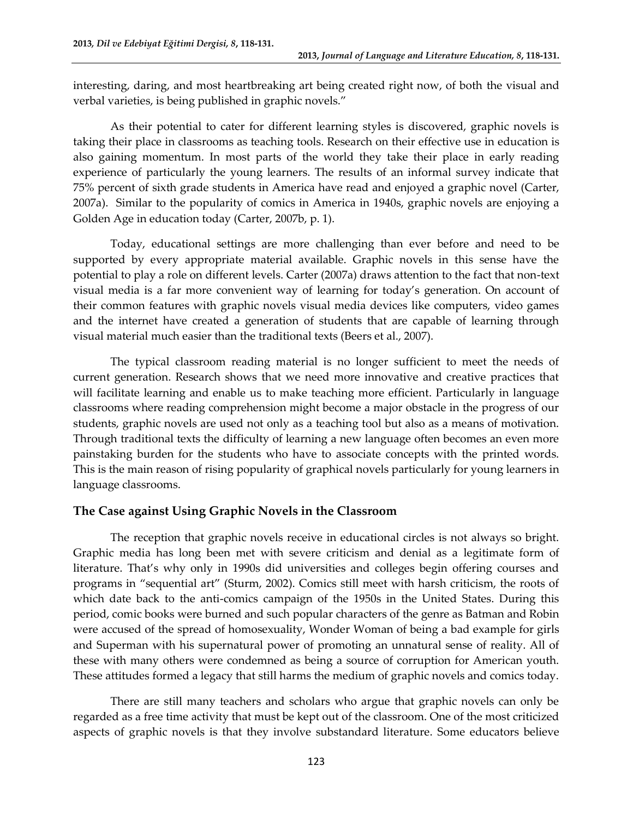interesting, daring, and most heartbreaking art being created right now, of both the visual and verbal varieties, is being published in graphic novels."

As their potential to cater for different learning styles is discovered, graphic novels is taking their place in classrooms as teaching tools. Research on their effective use in education is also gaining momentum. In most parts of the world they take their place in early reading experience of particularly the young learners. The results of an informal survey indicate that 75% percent of sixth grade students in America have read and enjoyed a graphic novel (Carter, 2007a). Similar to the popularity of comics in America in 1940s, graphic novels are enjoying a Golden Age in education today (Carter, 2007b, p. 1).

Today, educational settings are more challenging than ever before and need to be supported by every appropriate material available. Graphic novels in this sense have the potential to play a role on different levels. Carter (2007a) draws attention to the fact that non-text visual media is a far more convenient way of learning for today's generation. On account of their common features with graphic novels visual media devices like computers, video games and the internet have created a generation of students that are capable of learning through visual material much easier than the traditional texts (Beers et al., 2007).

The typical classroom reading material is no longer sufficient to meet the needs of current generation. Research shows that we need more innovative and creative practices that will facilitate learning and enable us to make teaching more efficient. Particularly in language classrooms where reading comprehension might become a major obstacle in the progress of our students, graphic novels are used not only as a teaching tool but also as a means of motivation. Through traditional texts the difficulty of learning a new language often becomes an even more painstaking burden for the students who have to associate concepts with the printed words. This is the main reason of rising popularity of graphical novels particularly for young learners in language classrooms.

# **The Case against Using Graphic Novels in the Classroom**

The reception that graphic novels receive in educational circles is not always so bright. Graphic media has long been met with severe criticism and denial as a legitimate form of literature. That's why only in 1990s did universities and colleges begin offering courses and programs in "sequential art" (Sturm, 2002). Comics still meet with harsh criticism, the roots of which date back to the anti-comics campaign of the 1950s in the United States. During this period, comic books were burned and such popular characters of the genre as Batman and Robin were accused of the spread of homosexuality, Wonder Woman of being a bad example for girls and Superman with his supernatural power of promoting an unnatural sense of reality. All of these with many others were condemned as being a source of corruption for American youth. These attitudes formed a legacy that still harms the medium of graphic novels and comics today.

There are still many teachers and scholars who argue that graphic novels can only be regarded as a free time activity that must be kept out of the classroom. One of the most criticized aspects of graphic novels is that they involve substandard literature. Some educators believe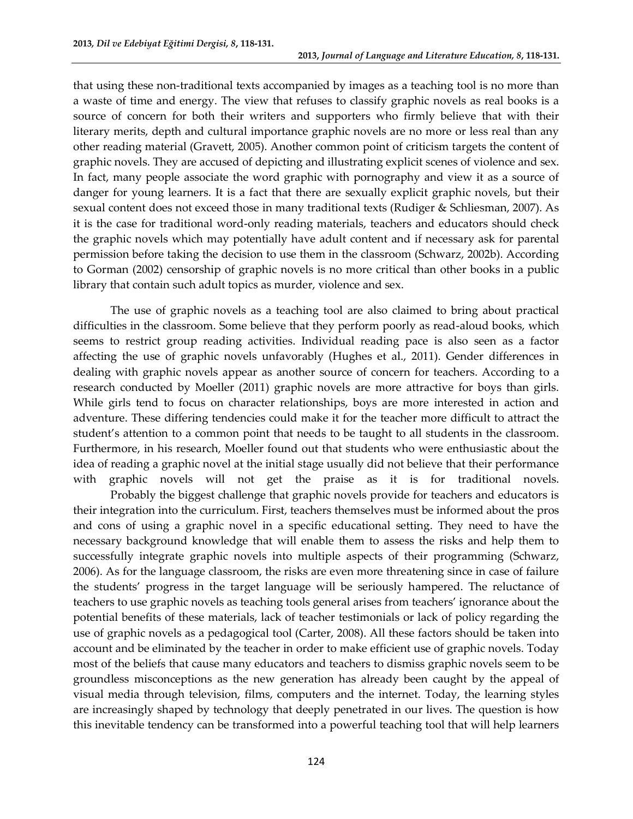that using these non-traditional texts accompanied by images as a teaching tool is no more than a waste of time and energy. The view that refuses to classify graphic novels as real books is a source of concern for both their writers and supporters who firmly believe that with their literary merits, depth and cultural importance graphic novels are no more or less real than any other reading material (Gravett, 2005). Another common point of criticism targets the content of graphic novels. They are accused of depicting and illustrating explicit scenes of violence and sex. In fact, many people associate the word graphic with pornography and view it as a source of danger for young learners. It is a fact that there are sexually explicit graphic novels, but their sexual content does not exceed those in many traditional texts (Rudiger & Schliesman, 2007). As it is the case for traditional word-only reading materials, teachers and educators should check the graphic novels which may potentially have adult content and if necessary ask for parental permission before taking the decision to use them in the classroom (Schwarz, 2002b). According to Gorman (2002) censorship of graphic novels is no more critical than other books in a public library that contain such adult topics as murder, violence and sex.

The use of graphic novels as a teaching tool are also claimed to bring about practical difficulties in the classroom. Some believe that they perform poorly as read-aloud books, which seems to restrict group reading activities. Individual reading pace is also seen as a factor affecting the use of graphic novels unfavorably (Hughes et al., 2011). Gender differences in dealing with graphic novels appear as another source of concern for teachers. According to a research conducted by Moeller (2011) graphic novels are more attractive for boys than girls. While girls tend to focus on character relationships, boys are more interested in action and adventure. These differing tendencies could make it for the teacher more difficult to attract the student's attention to a common point that needs to be taught to all students in the classroom. Furthermore, in his research, Moeller found out that students who were enthusiastic about the idea of reading a graphic novel at the initial stage usually did not believe that their performance with graphic novels will not get the praise as it is for traditional novels.

Probably the biggest challenge that graphic novels provide for teachers and educators is their integration into the curriculum. First, teachers themselves must be informed about the pros and cons of using a graphic novel in a specific educational setting. They need to have the necessary background knowledge that will enable them to assess the risks and help them to successfully integrate graphic novels into multiple aspects of their programming (Schwarz, 2006). As for the language classroom, the risks are even more threatening since in case of failure the students' progress in the target language will be seriously hampered. The reluctance of teachers to use graphic novels as teaching tools general arises from teachers' ignorance about the potential benefits of these materials, lack of teacher testimonials or lack of policy regarding the use of graphic novels as a pedagogical tool (Carter, 2008). All these factors should be taken into account and be eliminated by the teacher in order to make efficient use of graphic novels. Today most of the beliefs that cause many educators and teachers to dismiss graphic novels seem to be groundless misconceptions as the new generation has already been caught by the appeal of visual media through television, films, computers and the internet. Today, the learning styles are increasingly shaped by technology that deeply penetrated in our lives. The question is how this inevitable tendency can be transformed into a powerful teaching tool that will help learners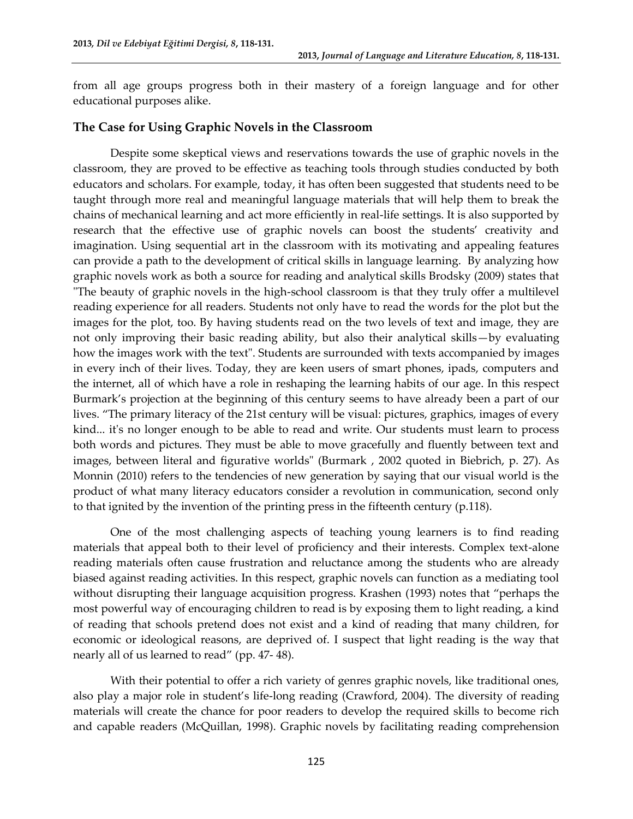from all age groups progress both in their mastery of a foreign language and for other educational purposes alike.

# **The Case for Using Graphic Novels in the Classroom**

Despite some skeptical views and reservations towards the use of graphic novels in the classroom, they are proved to be effective as teaching tools through studies conducted by both educators and scholars. For example, today, it has often been suggested that students need to be taught through more real and meaningful language materials that will help them to break the chains of mechanical learning and act more efficiently in real-life settings. It is also supported by research that the effective use of graphic novels can boost the students' creativity and imagination. Using sequential art in the classroom with its motivating and appealing features can provide a path to the development of critical skills in language learning. By analyzing how graphic novels work as both a source for reading and analytical skills Brodsky (2009) states that "The beauty of graphic novels in the high-school classroom is that they truly offer a multilevel reading experience for all readers. Students not only have to read the words for the plot but the images for the plot, too. By having students read on the two levels of text and image, they are not only improving their basic reading ability, but also their analytical skills—by evaluating how the images work with the text". Students are surrounded with texts accompanied by images in every inch of their lives. Today, they are keen users of smart phones, ipads, computers and the internet, all of which have a role in reshaping the learning habits of our age. In this respect Burmark's projection at the beginning of this century seems to have already been a part of our lives. "The primary literacy of the 21st century will be visual: pictures, graphics, images of every kind... it's no longer enough to be able to read and write. Our students must learn to process both words and pictures. They must be able to move gracefully and fluently between text and images, between literal and figurative worlds" (Burmark , 2002 quoted in Biebrich, p. 27). As Monnin (2010) refers to the tendencies of new generation by saying that our visual world is the product of what many literacy educators consider a revolution in communication, second only to that ignited by the invention of the printing press in the fifteenth century (p.118).

One of the most challenging aspects of teaching young learners is to find reading materials that appeal both to their level of proficiency and their interests. Complex text-alone reading materials often cause frustration and reluctance among the students who are already biased against reading activities. In this respect, graphic novels can function as a mediating tool without disrupting their language acquisition progress. Krashen (1993) notes that "perhaps the most powerful way of encouraging children to read is by exposing them to light reading, a kind of reading that schools pretend does not exist and a kind of reading that many children, for economic or ideological reasons, are deprived of. I suspect that light reading is the way that nearly all of us learned to read" [\(pp. 47-](#page-12-1) 48).

With their potential to offer a rich variety of genres graphic novels, like traditional ones, also play a major role in student's life-long reading (Crawford, 2004). The diversity of reading materials will create the chance for poor readers to develop the required skills to become rich and capable readers (McQuillan, 1998). Graphic novels by facilitating reading comprehension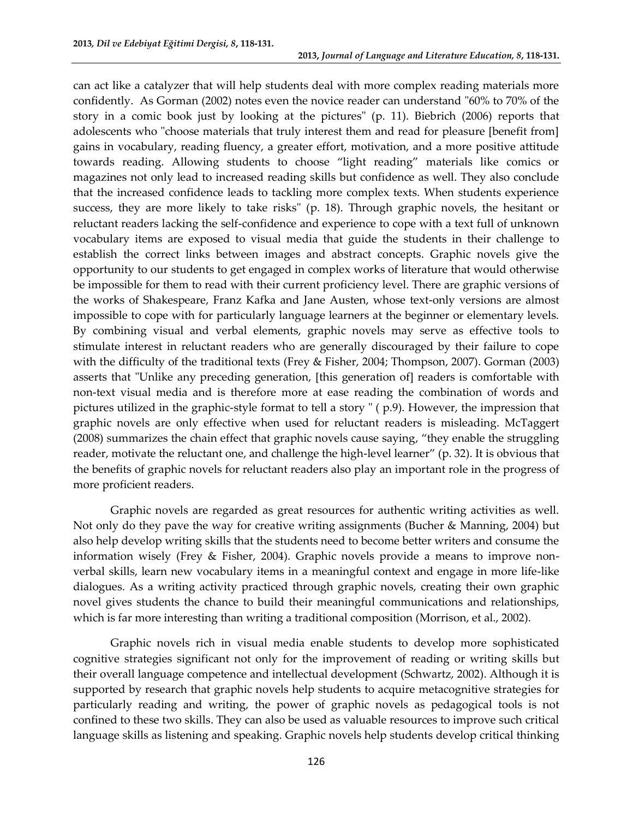can act like a catalyzer that will help students deal with more complex reading materials more confidently. As Gorman (2002) notes even the novice reader can understand "60% to 70% of the story in a comic book just by looking at the pictures" (p. 11). Biebrich (2006) reports that adolescents who "choose materials that truly interest them and read for pleasure [benefit from] gains in vocabulary, reading fluency, a greater effort, motivation, and a more positive attitude towards reading. Allowing students to choose "light reading" materials like comics or magazines not only lead to increased reading skills but confidence as well. They also conclude that the increased confidence leads to tackling more complex texts. When students experience success, they are more likely to take risks" (p. 18). Through graphic novels, the hesitant or reluctant readers lacking the self-confidence and experience to cope with a text full of unknown vocabulary items are exposed to visual media that guide the students in their challenge to establish the correct links between images and abstract concepts. Graphic novels give the opportunity to our students to get engaged in complex works of literature that would otherwise be impossible for them to read with their current proficiency level. There are graphic versions of the works of Shakespeare, Franz Kafka and Jane Austen, whose text-only versions are almost impossible to cope with for particularly language learners at the beginner or elementary levels. By combining visual and verbal elements, graphic novels may serve as effective tools to stimulate interest in reluctant readers who are generally discouraged by their failure to cope with the difficulty of the traditional texts [\(Frey & Fisher, 2004;](#page-12-2) [Thompson, 2007\)](#page-13-0). Gorman (2003) asserts that "Unlike any preceding generation, [this generation of] readers is comfortable with non-text visual media and is therefore more at ease reading the combination of words and pictures utilized in the graphic-style format to tell a story " ( p.9). However, the impression that graphic novels are only effective when used for reluctant readers is misleading. McTaggert (2008) summarizes the chain effect that graphic novels cause saying, "they enable the struggling reader, motivate the reluctant one, and challenge the high-level learner" (p. 32). It is obvious that the benefits of graphic novels for reluctant readers also play an important role in the progress of more proficient readers.

Graphic novels are regarded as great resources for authentic writing activities as well. Not only do they pave the way for creative writing assignments [\(Bucher & Manning, 2004\)](#page-11-0) but also help develop writing skills that the students need to become better writers and consume the information wisely [\(Frey & Fisher, 2004\)](#page-12-2). Graphic novels provide a means to improve nonverbal skills, learn new vocabulary items in a meaningful context and engage in more life-like dialogues. As a writing activity practiced through graphic novels, creating their own graphic novel gives students the chance to build their meaningful communications and relationships, which is far more interesting than writing a traditional composition [\(Morrison, et al., 2002\)](#page-12-3).

Graphic novels rich in visual media enable students to develop more sophisticated cognitive strategies significant not only for the improvement of reading or writing skills but their overall language competence and intellectual development (Schwartz, 2002). Although it is supported by research that graphic novels help students to acquire metacognitive strategies for particularly reading and writing, the power of graphic novels as pedagogical tools is not confined to these two skills. They can also be used as valuable resources to improve such critical language skills as listening and speaking. Graphic novels help students develop critical thinking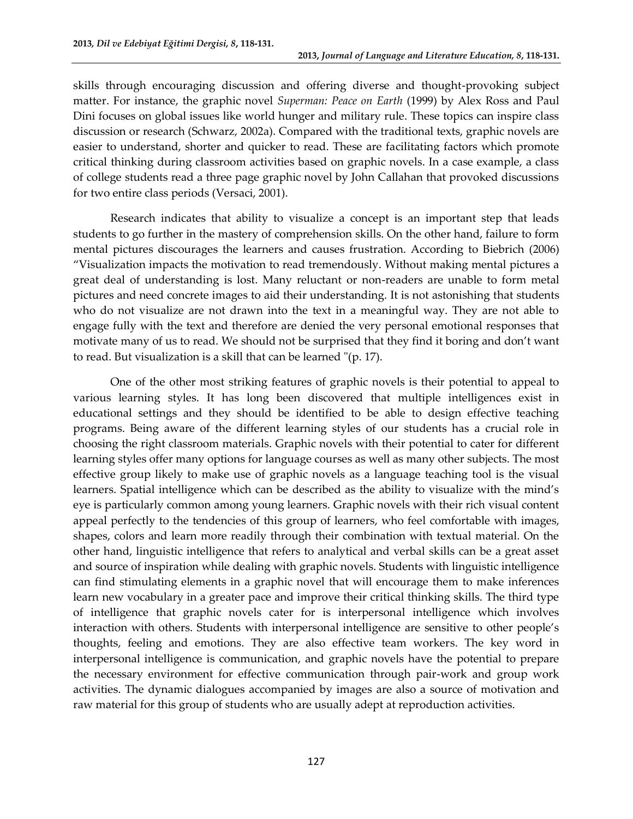skills through encouraging discussion and offering diverse and thought-provoking subject matter. For instance, the graphic novel *Superman: Peace on Earth* (1999) by Alex Ross and Paul Dini focuses on global issues like world hunger and military rule. These topics can inspire class discussion or research (Schwarz, 2002a). Compared with the traditional texts, graphic novels are easier to understand, shorter and quicker to read. These are facilitating factors which promote critical thinking during classroom activities based on graphic novels. In a case example, a class of college students read a three page graphic novel by John Callahan that provoked discussions for two entire class periods (Versaci, 2001).

Research indicates that ability to visualize a concept is an important step that leads students to go further in the mastery of comprehension skills. On the other hand, failure to form mental pictures discourages the learners and causes frustration. According to Biebrich (2006) "[Visualization](https://sites.google.com/a/ocsb.ca/graphic-novels/foreword/home/glossary-of-terms) impacts the motivation to read tremendously. Without making mental pictures a great deal of understanding is lost. Many reluctant or non-readers are unable to form metal pictures and need concrete images to aid their understanding. It is not astonishing that students who do not visualize are not drawn into the text in a meaningful way. They are not able to engage fully with the text and therefore are denied the very personal emotional responses that motivate many of us to read. We should not be surprised that they find it boring and don't want to read. But visualization is a skill that can be learned "(p. 17).

One of the other most striking features of graphic novels is their potential to appeal to various learning styles. It has long been discovered that multiple intelligences exist in educational settings and they should be identified to be able to design effective teaching programs. Being aware of the different learning styles of our students has a crucial role in choosing the right classroom materials. Graphic novels with their potential to cater for different learning styles offer many options for language courses as well as many other subjects. The most effective group likely to make use of graphic novels as a language teaching tool is the visual learners. Spatial intelligence which can be described as the ability to visualize with the mind's eye is particularly common among young learners. Graphic novels with their rich visual content appeal perfectly to the tendencies of this group of learners, who feel comfortable with images, shapes, colors and learn more readily through their combination with textual material. On the other hand, linguistic intelligence that refers to analytical and verbal skills can be a great asset and source of inspiration while dealing with graphic novels. Students with linguistic intelligence can find stimulating elements in a graphic novel that will encourage them to make inferences learn new vocabulary in a greater pace and improve their critical thinking skills. The third type of intelligence that graphic novels cater for is interpersonal intelligence which involves interaction with others. Students with interpersonal intelligence are sensitive to other people's thoughts, feeling and emotions. They are also effective team workers. The key word in interpersonal intelligence is communication, and graphic novels have the potential to prepare the necessary environment for effective communication through pair-work and group work activities. The dynamic dialogues accompanied by images are also a source of motivation and raw material for this group of students who are usually adept at reproduction activities.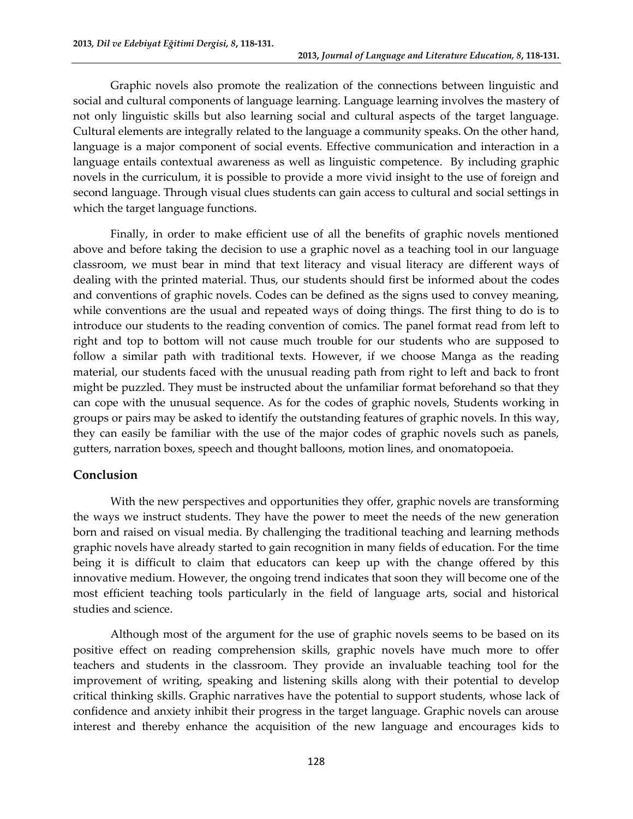Graphic novels also promote the realization of the connections between linguistic and social and cultural components of language learning. Language learning involves the mastery of not only linguistic skills but also learning social and cultural aspects of the target language. Cultural elements are integrally related to the language a community speaks. On the other hand, language is a major component of social events. Effective communication and interaction in a language entails contextual awareness as well as linguistic competence. By including graphic novels in the curriculum, it is possible to provide a more vivid insight to the use of foreign and second language. Through visual clues students can gain access to cultural and social settings in which the target language functions.

Finally, in order to make efficient use of all the benefits of graphic novels mentioned above and before taking the decision to use a graphic novel as a teaching tool in our language classroom, we must bear in mind that text literacy and visual literacy are different ways of dealing with the printed material. Thus, our students should first be informed about the codes and conventions of graphic novels. Codes can be defined as the signs used to convey meaning, while conventions are the usual and repeated ways of doing things. The first thing to do is to introduce our students to the reading convention of comics. The panel format read from left to right and top to bottom will not cause much trouble for our students who are supposed to follow a similar path with traditional texts. However, if we choose Manga as the reading material, our students faced with the unusual reading path from right to left and back to front might be puzzled. They must be instructed about the unfamiliar format beforehand so that they can cope with the unusual sequence. As for the codes of graphic novels, Students working in groups or pairs may be asked to identify the outstanding features of graphic novels. In this way, they can easily be familiar with the use of the major codes of graphic novels such as panels, gutters, narration boxes, speech and thought balloons, motion lines, and onomatopoeia.

# **Conclusion**

With the new perspectives and opportunities they offer, graphic novels are transforming the ways we instruct students. They have the power to meet the needs of the new generation born and raised on visual media. By challenging the traditional teaching and learning methods graphic novels have already started to gain recognition in many fields of education. For the time being it is difficult to claim that educators can keep up with the change offered by this innovative medium. However, the ongoing trend indicates that soon they will become one of the most efficient teaching tools particularly in the field of language arts, social and historical studies and science.

Although most of the argument for the use of graphic novels seems to be based on its positive effect on reading comprehension skills, graphic novels have much more to offer teachers and students in the classroom. They provide an invaluable teaching tool for the improvement of writing, speaking and listening skills along with their potential to develop critical thinking skills. Graphic narratives have the potential to support students, whose lack of confidence and anxiety inhibit their progress in the target language. Graphic novels can arouse interest and thereby enhance the acquisition of the new language and encourages kids to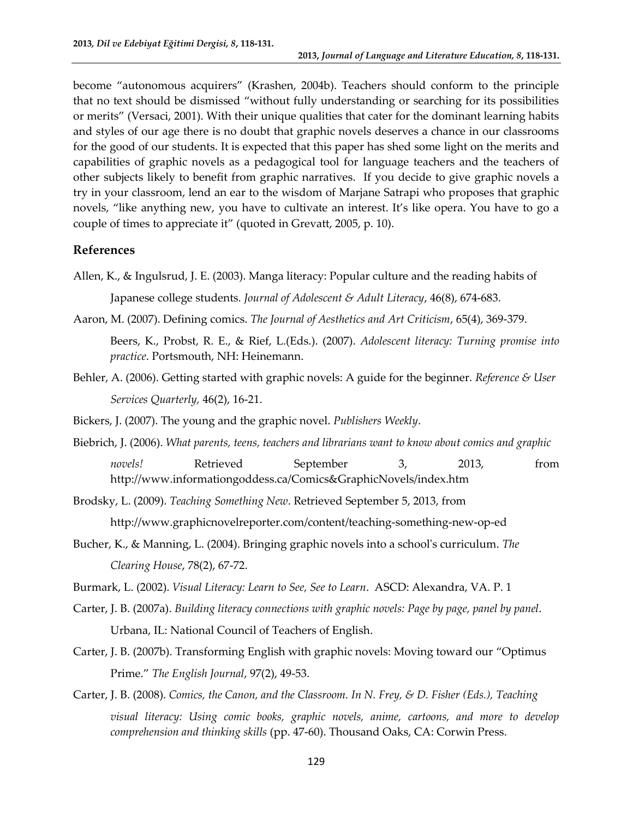become "autonomous acquirers" (Krashen, 2004b). Teachers should conform to the principle that no text should be dismissed "without fully understanding or searching for its possibilities or merits" (Versaci, 2001). With their unique qualities that cater for the dominant learning habits and styles of our age there is no doubt that graphic novels deserves a chance in our classrooms for the good of our students. It is expected that this paper has shed some light on the merits and capabilities of graphic novels as a pedagogical tool for language teachers and the teachers of other subjects likely to benefit from graphic narratives. If you decide to give graphic novels a try in your classroom, lend an ear to the wisdom of Marjane Satrapi who proposes that graphic novels, "like anything new, you have to cultivate an interest. It's like opera. You have to go a couple of times to appreciate it" (quoted in Grevatt, 2005, p. 10).

# **References**

- <span id="page-11-0"></span>Allen, K., & Ingulsrud, J. E. (2003). Manga literacy: Popular culture and the reading habits of Japanese college students. *Journal of Adolescent & Adult Literacy*, 46(8), 674-683.
- Aaron, M. (2007). Defining comics. *The Journal of Aesthetics and Art Criticism*, 65(4), 369-379. Beers, K., Probst, R. E., & Rief, L.(Eds.). (2007). *Adolescent literacy: Turning promise into practice*. Portsmouth, NH: Heinemann.
- Behler, A. (2006). Getting started with graphic novels: A guide for the beginner. *Reference & User Services Quarterly,* 46(2), 16-21.
- Bickers, J. (2007). The young and the graphic novel. *Publishers Weekly*.
- Biebrich, J. (2006). *What parents, teens, teachers and librarians want to know about comics and graphic novels!* Retrieved September 3, 2013, from http://www.informationgoddess.ca/Comics&GraphicNovels/index.htm
- Brodsky, L. (2009). *Teaching Something New*. Retrieved September 5, 2013, from http://www.graphicnovelreporter.com/content/teaching-something-new-op-ed
- Bucher, K., & Manning, L. (2004). Bringing graphic novels into a school's curriculum. *The Clearing House*, 78(2), 67-72.
- Burmark, L. (2002). *Visual Literacy: Learn to See, See to Learn*. ASCD: Alexandra, VA. P. 1
- Carter, J. B. (2007a). *Building literacy connections with graphic novels: Page by page, panel by panel*. Urbana, IL: National Council of Teachers of English.
- Carter, J. B. (2007b). Transforming English with graphic novels: Moving toward our "Optimus Prime." *The English Journal*, 97(2), 49-53.
- Carter, J. B. (2008). *Comics, the Canon, and the Classroom. In N. Frey, & D. Fisher (Eds.), Teaching visual literacy: Using comic books, graphic novels, anime, cartoons, and more to develop comprehension and thinking skills* (pp. 47-60). Thousand Oaks, CA: Corwin Press.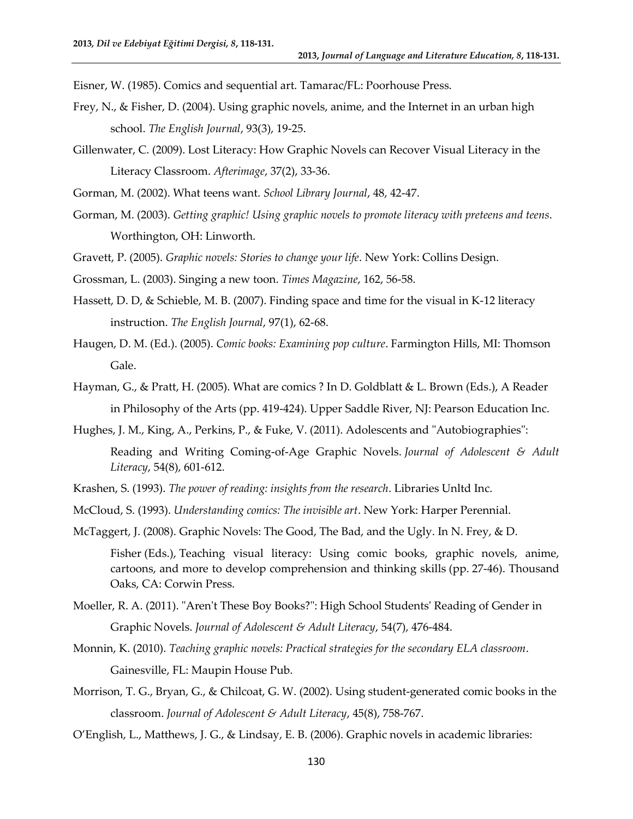Eisner, W. (1985). Comics and sequential art. Tamarac/FL: Poorhouse Press.

- <span id="page-12-2"></span>Frey, N., & Fisher, D. (2004). Using graphic novels, anime, and the Internet in an urban high school. *The English Journal*, 93(3), 19-25.
- Gillenwater, C. (2009). Lost Literacy: How Graphic Novels can Recover Visual Literacy in the Literacy Classroom. *Afterimage*, 37(2), 33-36.

Gorman, M. (2002). What teens want. *School Library Journal*, 48, 42-47.

- Gorman, M. (2003). *Getting graphic! Using graphic novels to promote literacy with preteens and teens*. Worthington, OH: Linworth.
- Gravett, P. (2005). *Graphic novels: Stories to change your life*. New York: Collins Design.
- Grossman, L. (2003). Singing a new toon. *Times Magazine*, 162, 56-58.
- Hassett, D. D, & Schieble, M. B. (2007). Finding space and time for the visual in K-12 literacy instruction. *The English Journal*, 97(1), 62-68.
- <span id="page-12-0"></span>Haugen, D. M. (Ed.). (2005). *Comic books: Examining pop culture*. Farmington Hills, MI: Thomson Gale.
- Hayman, G., & Pratt, H. (2005). What are comics ? In D. Goldblatt & L. Brown (Eds.), A Reader in Philosophy of the Arts (pp. 419-424). Upper Saddle River, NJ: Pearson Education Inc.
- Hughes, J. M., King, A., Perkins, P., & Fuke, V. (2011). Adolescents and "Autobiographies": Reading and Writing Coming-of-Age Graphic Novels. *Journal of Adolescent & Adult Literacy*, 54(8), 601-612.
- <span id="page-12-1"></span>Krashen, S. (1993). *The power of reading: insights from the research*. Libraries Unltd Inc.
- McCloud, S. (1993). *Understanding comics: The invisible art*. New York: Harper Perennial.
- McTaggert, J. (2008). Graphic Novels: The Good, The Bad, and the Ugly. In N. Frey, & D.
	- Fisher (Eds.), Teaching visual literacy: Using comic books, graphic novels, anime, cartoons, and more to develop comprehension and thinking skills (pp. 27-46). Thousand Oaks, CA: Corwin Press.
- Moeller, R. A. (2011). "Aren't These Boy Books?": High School Students' Reading of Gender in Graphic Novels. *Journal of Adolescent & Adult Literacy*, 54(7), 476-484.
- Monnin, K. (2010). *Teaching graphic novels: Practical strategies for the secondary ELA classroom*. Gainesville, FL: Maupin House Pub.
- <span id="page-12-3"></span>Morrison, T. G., Bryan, G., & Chilcoat, G. W. (2002). Using student-generated comic books in the classroom. *Journal of Adolescent & Adult Literacy*, 45(8), 758-767.
- O'English, L., Matthews, J. G., & Lindsay, E. B. (2006). Graphic novels in academic libraries: